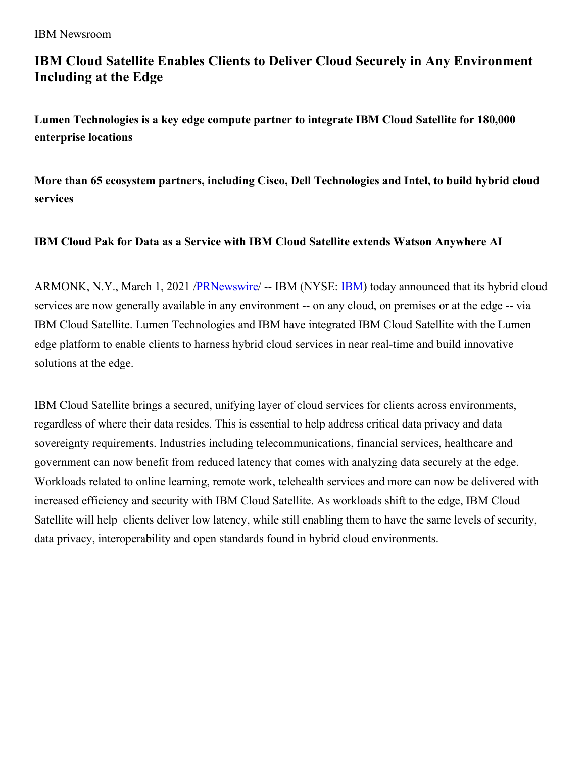# **IBM Cloud Satellite Enables Clients to Deliver Cloud Securely in Any Environment Including at the Edge**

**Lumen Technologies is a key edge compute partner to integrate IBM Cloud Satellite for 180,000 enterprise locations**

**More than 65 ecosystem partners, including Cisco, Dell Technologies and Intel, to build hybrid cloud services**

## **IBM Cloud Pak for Data as a Service with IBM Cloud Satellite extends Watson Anywhere AI**

ARMONK, N.Y., March 1, 2021 [/PRNewswire](http://www.prnewswire.com/)/ -- IBM (NYSE: [IBM](https://c212.net/c/link/?t=0&l=en&o=3081386-1&h=3322217637&u=http%3A%2F%2Fwww.ibm.com%2Finvestor&a=IBM)) today announced that its hybrid cloud services are now generally available in any environment -- on any cloud, on premises or at the edge -- via IBM Cloud Satellite. Lumen Technologies and IBM have integrated IBM Cloud Satellite with the Lumen edge platform to enable clients to harness hybrid cloud services in near real-time and build innovative solutions at the edge.

IBM Cloud Satellite brings a secured, unifying layer of cloud services for clients across environments, regardless of where their data resides. This is essential to help address critical data privacy and data sovereignty requirements. Industries including telecommunications, financial services, healthcare and government can now benefit from reduced latency that comes with analyzing data securely at the edge. Workloads related to online learning, remote work, telehealth services and more can now be delivered with increased efficiency and security with IBM Cloud Satellite. As workloads shift to the edge, IBM Cloud Satellite will help clients deliver low latency, while still enabling them to have the same levels of security, data privacy, interoperability and open standards found in hybrid cloud environments.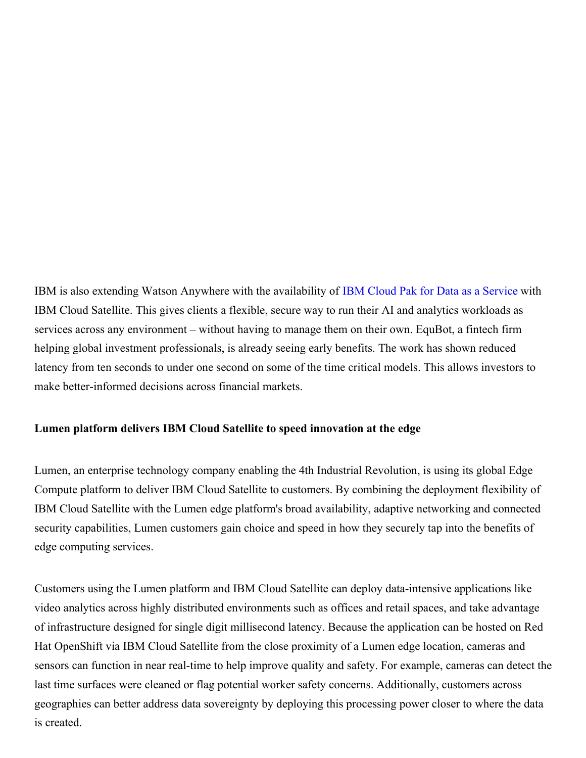IBM is also extending Watson Anywhere with the availability of IBM Cloud Pak for Data as a [Service](https://c212.net/c/link/?t=0&l=en&o=3081386-1&h=2451385832&u=https%3A%2F%2Fwww.ibm.com%2Fproducts%2Fcloud-pak-for-data%2Fas-a-service&a=IBM+Cloud+Pak+for+Data+as+a+Service) with IBM Cloud Satellite. This gives clients a flexible, secure way to run their AI and analytics workloads as services across any environment – without having to manage them on their own. EquBot, a fintech firm helping global investment professionals, is already seeing early benefits. The work has shown reduced latency from ten seconds to under one second on some of the time critical models. This allows investors to make better-informed decisions across financial markets.

#### **Lumen platform delivers IBM Cloud Satellite to speed innovation at the edge**

Lumen, an enterprise technology company enabling the 4th Industrial Revolution, is using its global Edge Compute platform to deliver IBM Cloud Satellite to customers. By combining the deployment flexibility of IBM Cloud Satellite with the Lumen edge platform's broad availability, adaptive networking and connected security capabilities, Lumen customers gain choice and speed in how they securely tap into the benefits of edge computing services.

Customers using the Lumen platform and IBM Cloud Satellite can deploy data-intensive applications like video analytics across highly distributed environments such as offices and retail spaces, and take advantage of infrastructure designed for single digit millisecond latency. Because the application can be hosted on Red Hat OpenShift via IBM Cloud Satellite from the close proximity of a Lumen edge location, cameras and sensors can function in near real-time to help improve quality and safety. For example, cameras can detect the last time surfaces were cleaned or flag potential worker safety concerns. Additionally, customers across geographies can better address data sovereignty by deploying this processing power closer to where the data is created.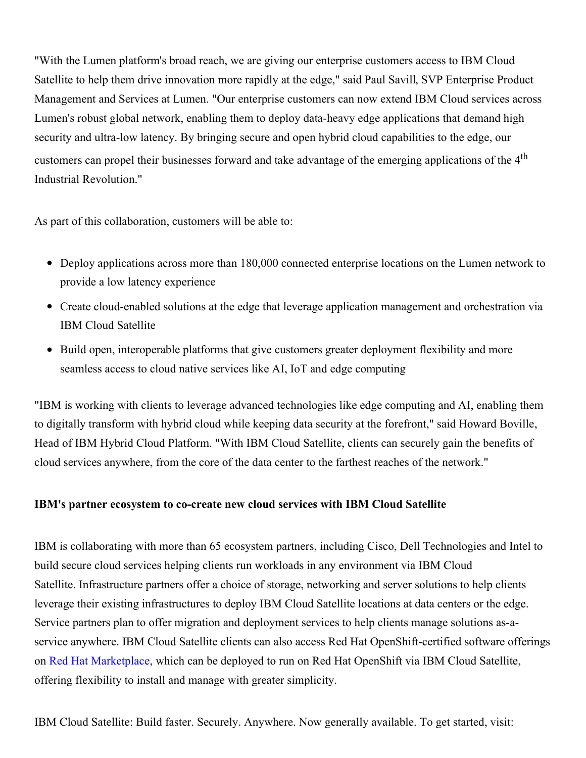"With the Lumen platform's broad reach, we are giving our enterprise customers access to IBM Cloud Satellite to help them drive innovation more rapidly at the edge," said Paul Savill, SVP Enterprise Product Management and Services at Lumen. "Our enterprise customers can now extend IBM Cloud services across Lumen's robust global network, enabling them to deploy data-heavy edge applications that demand high security and ultra-low latency. By bringing secure and open hybrid cloud capabilities to the edge, our customers can propel their businesses forward and take advantage of the emerging applications of the 4<sup>th</sup> Industrial Revolution."

As part of this collaboration, customers will be able to:

- Deploy applications across more than 180,000 connected enterprise locations on the Lumen network to provide a low latency experience
- Create cloud-enabled solutions at the edge that leverage application management and orchestration via IBM Cloud Satellite
- Build open, interoperable platforms that give customers greater deployment flexibility and more seamless access to cloud native services like AI, IoT and edge computing

"IBM is working with clients to leverage advanced technologies like edge computing and AI, enabling them to digitally transform with hybrid cloud while keeping data security at the forefront," said Howard Boville, Head of IBM Hybrid Cloud Platform. "With IBM Cloud Satellite, clients can securely gain the benefits of cloud services anywhere, from the core of the data center to the farthest reaches of the network."

## **IBM's partner ecosystem to co-create new cloud services with IBM Cloud Satellite**

IBM is collaborating with more than 65 ecosystem partners, including Cisco, Dell Technologies and Intel to build secure cloud services helping clients run workloads in any environment via IBM Cloud Satellite. Infrastructure partners offer a choice of storage, networking and server solutions to help clients leverage their existing infrastructures to deploy IBM Cloud Satellite locations at data centers or the edge. Service partners plan to offer migration and deployment services to help clients manage solutions as-aservice anywhere. IBM Cloud Satellite clients can also access Red Hat OpenShift-certified software offerings on Red Hat [Marketplace](https://c212.net/c/link/?t=0&l=en&o=3081386-1&h=810968849&u=https%3A%2F%2Fmarketplace.redhat.com%2Fen-us&a=Red+Hat+Marketplace), which can be deployed to run on Red Hat OpenShift via IBM Cloud Satellite, offering flexibility to install and manage with greater simplicity.

IBM Cloud Satellite: Build faster. Securely. Anywhere. Now generally available. To get started, visit: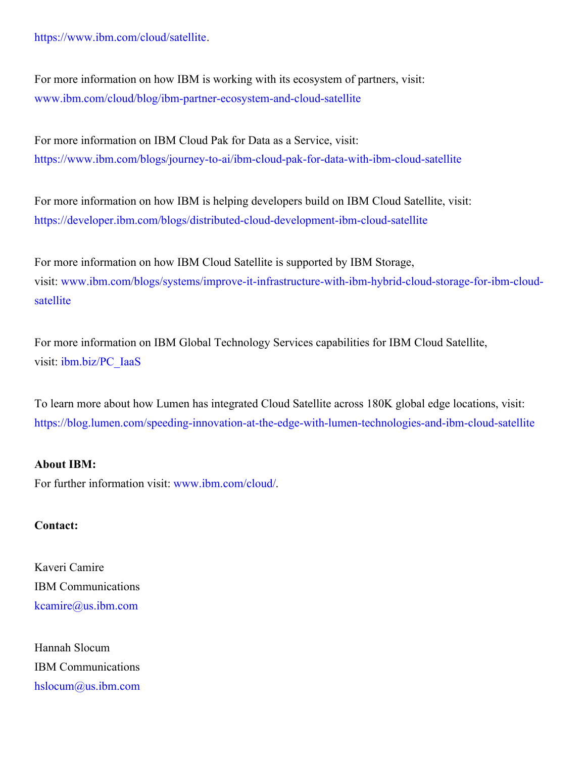[https://www.ibm.com/cloud/satellite.](https://c212.net/c/link/?t=0&l=en&o=3081386-1&h=3926377092&u=https%3A%2F%2Fwww.ibm.com%2Fcloud%2Fsatellite&a=https%3A%2F%2Fwww.ibm.com%2Fcloud%2Fsatellite)

For more information on how IBM is working with its ecosystem of partners, visit: [www.ibm.com/cloud/blog/ibm-partner-ecosystem-and-cloud-satellite](https://c212.net/c/link/?t=0&l=en&o=3081386-1&h=381897219&u=http%3A%2F%2Fwww.ibm.com%2Fcloud%2Fblog%2Fibm-partner-ecosystem-and-cloud-satellite&a=www.ibm.com%2Fcloud%2Fblog%2Fibm-partner-ecosystem-and-cloud-satellite)

For more information on IBM Cloud Pak for Data as a Service, visit: [https://www.ibm.com/blogs/journey-to-ai/ibm-cloud-pak-for-data-with-ibm-cloud-satellite](https://c212.net/c/link/?t=0&l=en&o=3081386-1&h=13236686&u=https%3A%2F%2Fwww.ibm.com%2Fblogs%2Fjourney-to-ai%2Fibm-cloud-pak-for-data-with-ibm-cloud-satellite%2F&a=https%3A%2F%2Fwww.ibm.com%2Fblogs%2Fjourney-to-ai%2Fibm-cloud-pak-for-data-with-ibm-cloud-satellite)

For more information on how IBM is helping developers build on IBM Cloud Satellite, visit: [https://developer.ibm.com/blogs/distributed-cloud-development-ibm-cloud-satellite](https://c212.net/c/link/?t=0&l=en&o=3081386-1&h=1338209372&u=https%3A%2F%2Fdeveloper.ibm.com%2Fblogs%2Fdistributed-cloud-development-ibm-cloud-satellite&a=https%3A%2F%2Fdeveloper.ibm.com%2Fblogs%2Fdistributed-cloud-development-ibm-cloud-satellite)

For more information on how IBM Cloud Satellite is supported by IBM Storage, visit: [www.ibm.com/blogs/systems/improve-it-infrastructure-with-ibm-hybrid-cloud-storage-for-ibm-cloud](https://c212.net/c/link/?t=0&l=en&o=3081386-1&h=3407982012&u=http%3A%2F%2Fwww.ibm.com%2Fblogs%2Fsystems%2Fimprove-it-infrastructure-with-ibm-hybrid-cloud-storage-for-ibm-cloud-satellite&a=www.ibm.com%2Fblogs%2Fsystems%2Fimprove-it-infrastructure-with-ibm-hybrid-cloud-storage-for-ibm-cloud-satellite)satellite

For more information on IBM Global Technology Services capabilities for IBM Cloud Satellite, visit: [ibm.biz/PC\\_IaaS](https://c212.net/c/link/?t=0&l=en&o=3081386-1&h=3668984294&u=http%3A%2F%2Fibm.biz%2FPC_IaaS&a=ibm.biz%2FPC_IaaS)

To learn more about how Lumen has integrated Cloud Satellite across 180K global edge locations, visit: <https://blog.lumen.com/speeding-innovation-at-the-edge-with-lumen-technologies-and-ibm-cloud-satellite>

### **About IBM:**

For further information visit: [www.ibm.com/cloud/](https://c212.net/c/link/?t=0&l=en&o=3081386-1&h=812418455&u=https%3A%2F%2Fc212.net%2Fc%2Flink%2F%3Ft%3D0%26l%3Den%26o%3D2965362-1%26h%3D2314001610%26u%3Dhttps%253A%252F%252Fc212.net%252Fc%252Flink%252F%253Ft%253D0%2526l%253Den%2526o%253D2955734-1%2526h%253D2703765062%2526u%253Dhttps%25253A%25252F%25252Fc212.net%25252Fc%25252Flink%25252F%25253Ft%25253D0%252526l%25253Den%252526o%25253D2881352-1%252526h%25253D2440091811%252526u%25253Dhttp%2525253A%2525252F%2525252Fwww.ibm.com%2525252Fcloud%2525252F%252526a%25253Dwww.ibm.com%2525252Fcloud%2525252F%2526a%253Dwww.ibm.com%25252Fcloud%25252F%26a%3Dwww.ibm.com%252Fcloud%252F&a=www.ibm.com%2Fcloud%2F).

### **Contact:**

Kaveri Camire IBM Communications [kcamire@us.ibm.com](mailto:kcamire@us.ibm.com)

Hannah Slocum IBM Communications [hslocum@us.ibm.com](mailto:hslocum@us.ibm.com)